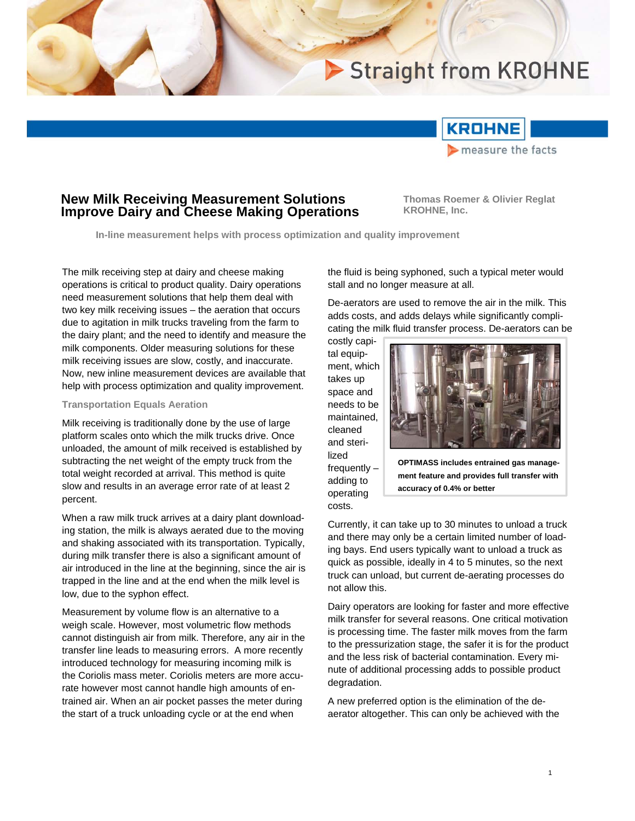# Straight from KROHNE



# **New Milk Receiving Measurement Solutions Improve Dairy and Cheese Making Operations**

**Thomas Roemer & Olivier Reglat KROHNE, Inc.**

**In-line measurement helps with process optimization and quality improvement** 

The milk receiving step at dairy and cheese making operations is critical to product quality. Dairy operations need measurement solutions that help them deal with two key milk receiving issues – the aeration that occurs due to agitation in milk trucks traveling from the farm to the dairy plant; and the need to identify and measure the milk components. Older measuring solutions for these milk receiving issues are slow, costly, and inaccurate. Now, new inline measurement devices are available that help with process optimization and quality improvement.

#### **Transportation Equals Aeration**

Milk receiving is traditionally done by the use of large platform scales onto which the milk trucks drive. Once unloaded, the amount of milk received is established by subtracting the net weight of the empty truck from the total weight recorded at arrival. This method is quite slow and results in an average error rate of at least 2 percent.

When a raw milk truck arrives at a dairy plant downloading station, the milk is always aerated due to the moving and shaking associated with its transportation. Typically, during milk transfer there is also a significant amount of air introduced in the line at the beginning, since the air is trapped in the line and at the end when the milk level is low, due to the syphon effect.

Measurement by volume flow is an alternative to a weigh scale. However, most volumetric flow methods cannot distinguish air from milk. Therefore, any air in the transfer line leads to measuring errors. A more recently introduced technology for measuring incoming milk is the Coriolis mass meter. Coriolis meters are more accurate however most cannot handle high amounts of entrained air. When an air pocket passes the meter during the start of a truck unloading cycle or at the end when

the fluid is being syphoned, such a typical meter would stall and no longer measure at all.

De-aerators are used to remove the air in the milk. This adds costs, and adds delays while significantly complicating the milk fluid transfer process. De-aerators can be

costly capital equipment, which takes up space and needs to be maintained, cleaned and sterilized frequently – adding to operating costs.



**OPTIMASS includes entrained gas management feature and provides full transfer with accuracy of 0.4% or better** 

Currently, it can take up to 30 minutes to unload a truck and there may only be a certain limited number of loading bays. End users typically want to unload a truck as quick as possible, ideally in 4 to 5 minutes, so the next truck can unload, but current de-aerating processes do not allow this.

Dairy operators are looking for faster and more effective milk transfer for several reasons. One critical motivation is processing time. The faster milk moves from the farm to the pressurization stage, the safer it is for the product and the less risk of bacterial contamination. Every minute of additional processing adds to possible product degradation.

A new preferred option is the elimination of the deaerator altogether. This can only be achieved with the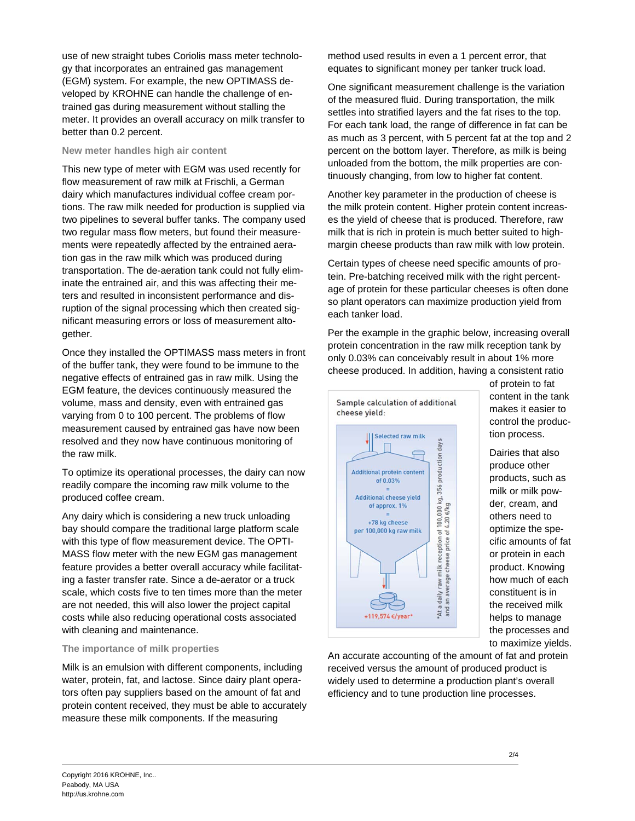use of new straight tubes Coriolis mass meter technology that incorporates an entrained gas management (EGM) system. For example, the new OPTIMASS developed by KROHNE can handle the challenge of entrained gas during measurement without stalling the meter. It provides an overall accuracy on milk transfer to better than 0.2 percent.

### **New meter handles high air content**

This new type of meter with EGM was used recently for flow measurement of raw milk at Frischli, a German dairy which manufactures individual coffee cream portions. The raw milk needed for production is supplied via two pipelines to several buffer tanks. The company used two regular mass flow meters, but found their measurements were repeatedly affected by the entrained aeration gas in the raw milk which was produced during transportation. The de-aeration tank could not fully eliminate the entrained air, and this was affecting their meters and resulted in inconsistent performance and disruption of the signal processing which then created significant measuring errors or loss of measurement altogether.

Once they installed the OPTIMASS mass meters in front of the buffer tank, they were found to be immune to the negative effects of entrained gas in raw milk. Using the EGM feature, the devices continuously measured the volume, mass and density, even with entrained gas varying from 0 to 100 percent. The problems of flow measurement caused by entrained gas have now been resolved and they now have continuous monitoring of the raw milk.

To optimize its operational processes, the dairy can now readily compare the incoming raw milk volume to the produced coffee cream.

Any dairy which is considering a new truck unloading bay should compare the traditional large platform scale with this type of flow measurement device. The OPTI-MASS flow meter with the new EGM gas management feature provides a better overall accuracy while facilitating a faster transfer rate. Since a de-aerator or a truck scale, which costs five to ten times more than the meter are not needed, this will also lower the project capital costs while also reducing operational costs associated with cleaning and maintenance.

## **The importance of milk properties**

Milk is an emulsion with different components, including water, protein, fat, and lactose. Since dairy plant operators often pay suppliers based on the amount of fat and protein content received, they must be able to accurately measure these milk components. If the measuring

method used results in even a 1 percent error, that equates to significant money per tanker truck load.

One significant measurement challenge is the variation of the measured fluid. During transportation, the milk settles into stratified layers and the fat rises to the top. For each tank load, the range of difference in fat can be as much as 3 percent, with 5 percent fat at the top and 2 percent on the bottom layer. Therefore, as milk is being unloaded from the bottom, the milk properties are continuously changing, from low to higher fat content.

Another key parameter in the production of cheese is the milk protein content. Higher protein content increases the yield of cheese that is produced. Therefore, raw milk that is rich in protein is much better suited to highmargin cheese products than raw milk with low protein.

Certain types of cheese need specific amounts of protein. Pre-batching received milk with the right percentage of protein for these particular cheeses is often done so plant operators can maximize production yield from each tanker load.

Per the example in the graphic below, increasing overall protein concentration in the raw milk reception tank by only 0.03% can conceivably result in about 1% more cheese produced. In addition, having a consistent ratio



of protein to fat content in the tank makes it easier to control the production process.

Dairies that also produce other products, such as milk or milk powder, cream, and others need to optimize the specific amounts of fat or protein in each product. Knowing how much of each constituent is in the received milk helps to manage the processes and to maximize yields.

An accurate accounting of the amount of fat and protein received versus the amount of produced product is widely used to determine a production plant's overall efficiency and to tune production line processes.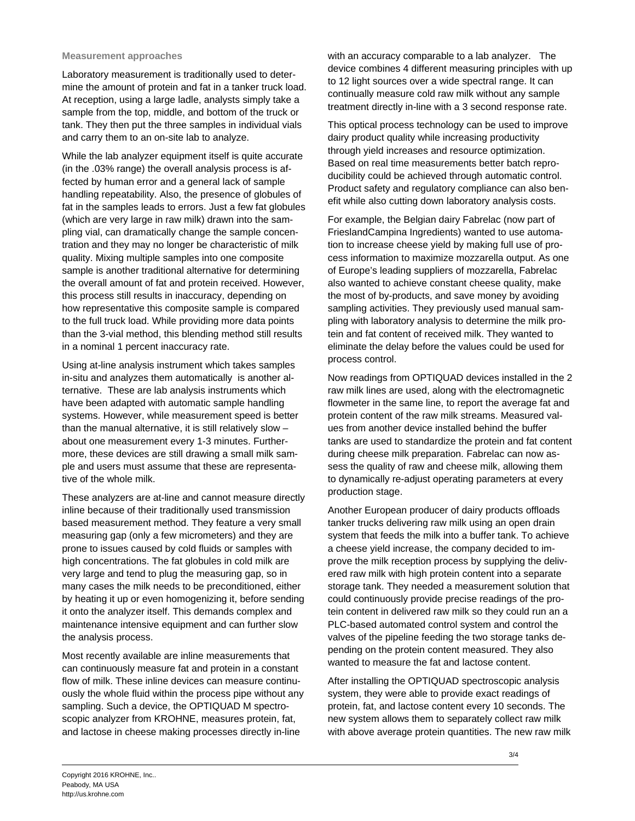#### **Measurement approaches**

Laboratory measurement is traditionally used to determine the amount of protein and fat in a tanker truck load. At reception, using a large ladle, analysts simply take a sample from the top, middle, and bottom of the truck or tank. They then put the three samples in individual vials and carry them to an on-site lab to analyze.

While the lab analyzer equipment itself is quite accurate (in the .03% range) the overall analysis process is affected by human error and a general lack of sample handling repeatability. Also, the presence of globules of fat in the samples leads to errors. Just a few fat globules (which are very large in raw milk) drawn into the sampling vial, can dramatically change the sample concentration and they may no longer be characteristic of milk quality. Mixing multiple samples into one composite sample is another traditional alternative for determining the overall amount of fat and protein received. However, this process still results in inaccuracy, depending on how representative this composite sample is compared to the full truck load. While providing more data points than the 3-vial method, this blending method still results in a nominal 1 percent inaccuracy rate.

Using at-line analysis instrument which takes samples in-situ and analyzes them automatically is another alternative. These are lab analysis instruments which have been adapted with automatic sample handling systems. However, while measurement speed is better than the manual alternative, it is still relatively slow – about one measurement every 1-3 minutes. Furthermore, these devices are still drawing a small milk sample and users must assume that these are representative of the whole milk.

These analyzers are at-line and cannot measure directly inline because of their traditionally used transmission based measurement method. They feature a very small measuring gap (only a few micrometers) and they are prone to issues caused by cold fluids or samples with high concentrations. The fat globules in cold milk are very large and tend to plug the measuring gap, so in many cases the milk needs to be preconditioned, either by heating it up or even homogenizing it, before sending it onto the analyzer itself. This demands complex and maintenance intensive equipment and can further slow the analysis process.

Most recently available are inline measurements that can continuously measure fat and protein in a constant flow of milk. These inline devices can measure continuously the whole fluid within the process pipe without any sampling. Such a device, the OPTIQUAD M spectroscopic analyzer from KROHNE, measures protein, fat, and lactose in cheese making processes directly in-line

with an accuracy comparable to a lab analyzer. The device combines 4 different measuring principles with up to 12 light sources over a wide spectral range. It can continually measure cold raw milk without any sample treatment directly in-line with a 3 second response rate.

This optical process technology can be used to improve dairy product quality while increasing productivity through yield increases and resource optimization. Based on real time measurements better batch reproducibility could be achieved through automatic control. Product safety and regulatory compliance can also benefit while also cutting down laboratory analysis costs.

For example, the Belgian dairy Fabrelac (now part of FrieslandCampina Ingredients) wanted to use automation to increase cheese yield by making full use of process information to maximize mozzarella output. As one of Europe's leading suppliers of mozzarella, Fabrelac also wanted to achieve constant cheese quality, make the most of by-products, and save money by avoiding sampling activities. They previously used manual sampling with laboratory analysis to determine the milk protein and fat content of received milk. They wanted to eliminate the delay before the values could be used for process control.

Now readings from OPTIQUAD devices installed in the 2 raw milk lines are used, along with the electromagnetic flowmeter in the same line, to report the average fat and protein content of the raw milk streams. Measured values from another device installed behind the buffer tanks are used to standardize the protein and fat content during cheese milk preparation. Fabrelac can now assess the quality of raw and cheese milk, allowing them to dynamically re-adjust operating parameters at every production stage.

Another European producer of dairy products offloads tanker trucks delivering raw milk using an open drain system that feeds the milk into a buffer tank. To achieve a cheese yield increase, the company decided to improve the milk reception process by supplying the delivered raw milk with high protein content into a separate storage tank. They needed a measurement solution that could continuously provide precise readings of the protein content in delivered raw milk so they could run an a PLC-based automated control system and control the valves of the pipeline feeding the two storage tanks depending on the protein content measured. They also wanted to measure the fat and lactose content.

After installing the OPTIQUAD spectroscopic analysis system, they were able to provide exact readings of protein, fat, and lactose content every 10 seconds. The new system allows them to separately collect raw milk with above average protein quantities. The new raw milk